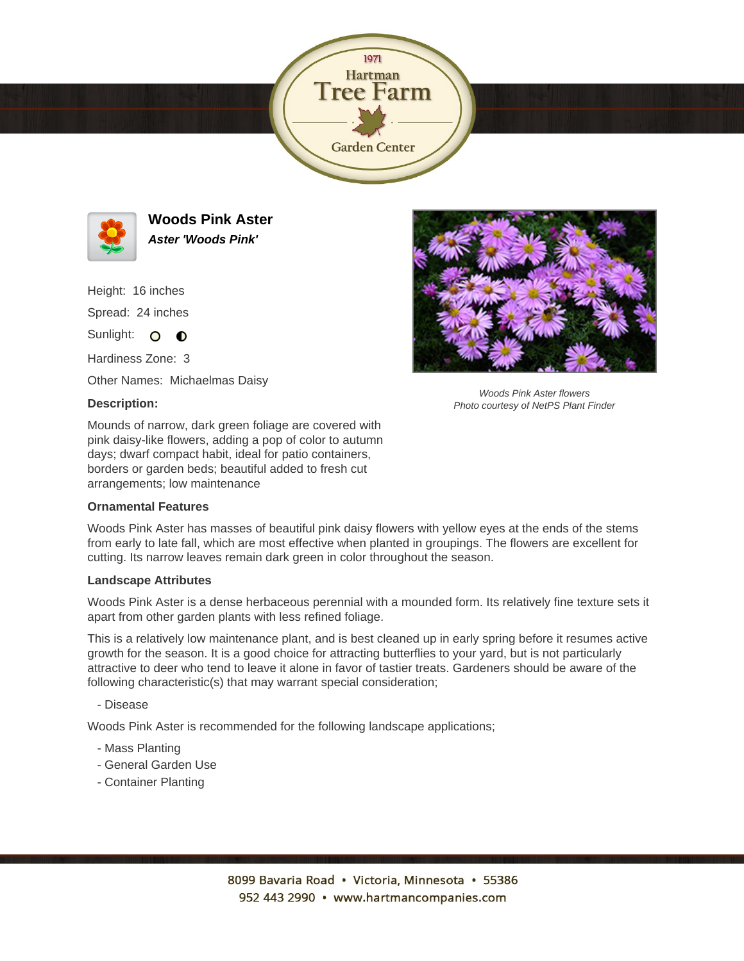



**Woods Pink Aster Aster 'Woods Pink'**

Height: 16 inches

Spread: 24 inches

Sunlight: O  $\bullet$ 

Hardiness Zone: 3

Other Names: Michaelmas Daisy

## **Description:**

Mounds of narrow, dark green foliage are covered with pink daisy-like flowers, adding a pop of color to autumn days; dwarf compact habit, ideal for patio containers, borders or garden beds; beautiful added to fresh cut arrangements; low maintenance

## **Ornamental Features**

Woods Pink Aster has masses of beautiful pink daisy flowers with yellow eyes at the ends of the stems from early to late fall, which are most effective when planted in groupings. The flowers are excellent for cutting. Its narrow leaves remain dark green in color throughout the season.

## **Landscape Attributes**

Woods Pink Aster is a dense herbaceous perennial with a mounded form. Its relatively fine texture sets it apart from other garden plants with less refined foliage.

This is a relatively low maintenance plant, and is best cleaned up in early spring before it resumes active growth for the season. It is a good choice for attracting butterflies to your yard, but is not particularly attractive to deer who tend to leave it alone in favor of tastier treats. Gardeners should be aware of the following characteristic(s) that may warrant special consideration;

- Disease

Woods Pink Aster is recommended for the following landscape applications;

- Mass Planting
- General Garden Use
- Container Planting



Woods Pink Aster flowers Photo courtesy of NetPS Plant Finder